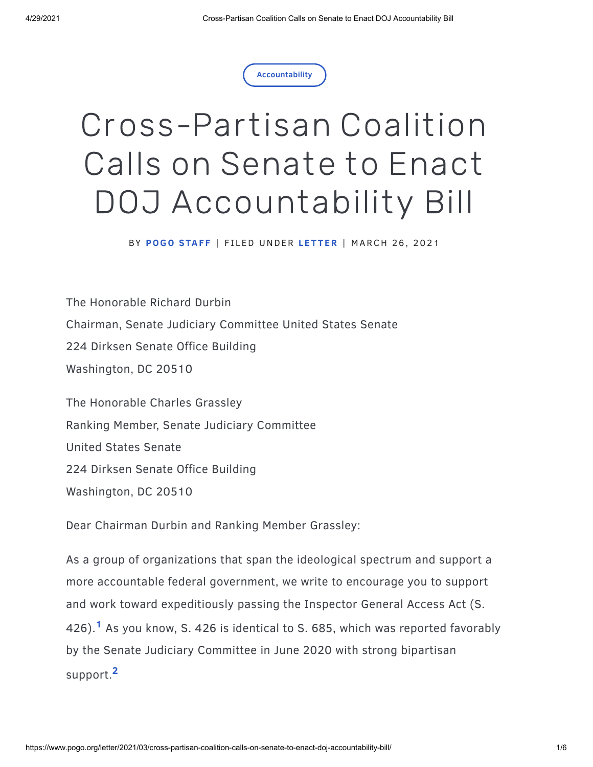

## Cross-Partisan Coalition Calls on Senate to Enact DOJ Accountability Bill

BY **[POGO](https://www.pogo.org/about/people/pogo-staff) STAF F** | F I L ED UNDER **L E T T [ER](https://www.pogo.org/search?refinementList[type][0]=Letter)** | MARCH 2 6 , 2021

The Honorable Richard Durbin Chairman, Senate Judiciary Committee United States Senate 224 Dirksen Senate Office Building Washington, DC 20510

The Honorable Charles Grassley Ranking Member, Senate Judiciary Committee United States Senate 224 Dirksen Senate Office Building Washington, DC 20510

Dear Chairman Durbin and Ranking Member Grassley:

As a group of organizations that span the ideological spectrum and support a more accountable federal government, we write to encourage you to support and work toward expeditiously passing the Inspector General Access Act (S. 426).<sup>1</sup> As you know, S. 426 is identical to S. 685, which was reported favorably by the Senate Judiciary Committee in June 2020 with strong bipartisan support. **2**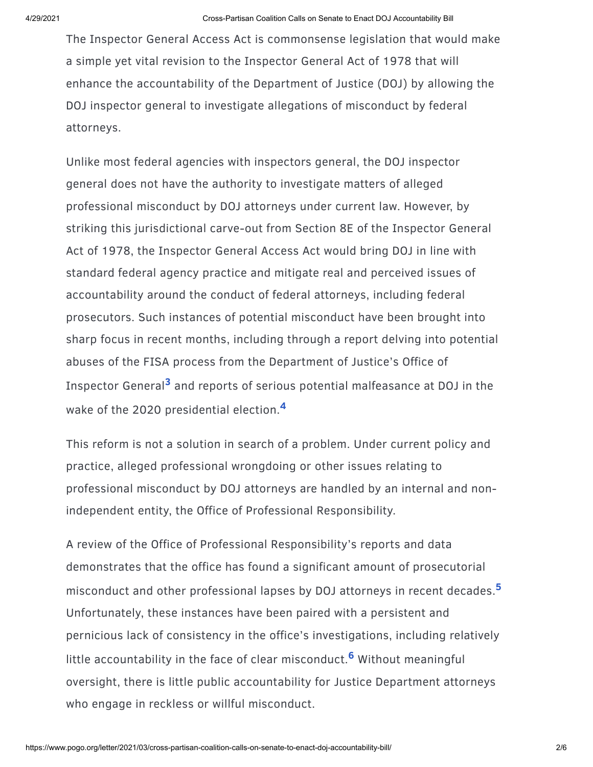The Inspector General Access Act is commonsense legislation that would make a simple yet vital revision to the Inspector General Act of 1978 that will enhance the accountability of the Department of Justice (DOJ) by allowing the DOJ inspector general to investigate allegations of misconduct by federal attorneys.

Unlike most federal agencies with inspectors general, the DOJ inspector general does not have the authority to investigate matters of alleged professional misconduct by DOJ attorneys under current law. However, by striking this jurisdictional carve-out from Section 8E of the Inspector General Act of 1978, the Inspector General Access Act would bring DOJ in line with standard federal agency practice and mitigate real and perceived issues of accountability around the conduct of federal attorneys, including federal prosecutors. Such instances of potential misconduct have been brought into sharp focus in recent months, including through a report delving into potential abuses of the FISA process from the Department of Justice's Office of Inspector General<sup>3</sup> and reports of serious potential malfeasance at DOJ in the wake of the 2020 presidential election. **4**

This reform is not a solution in search of a problem. Under current policy and practice, alleged professional wrongdoing or other issues relating to professional misconduct by DOJ attorneys are handled by an internal and nonindependent entity, the Office of Professional Responsibility.

A review of the Office of Professional Responsibility's reports and data demonstrates that the office has found a significant amount of prosecutorial misconduct and other professional lapses by DOJ attorneys in recent decades. **5** Unfortunately, these instances have been paired with a persistent and pernicious lack of consistency in the office's investigations, including relatively little accountability in the face of clear misconduct.<sup>6</sup> Without meaningful oversight, there is little public accountability for Justice Department attorneys who engage in reckless or willful misconduct.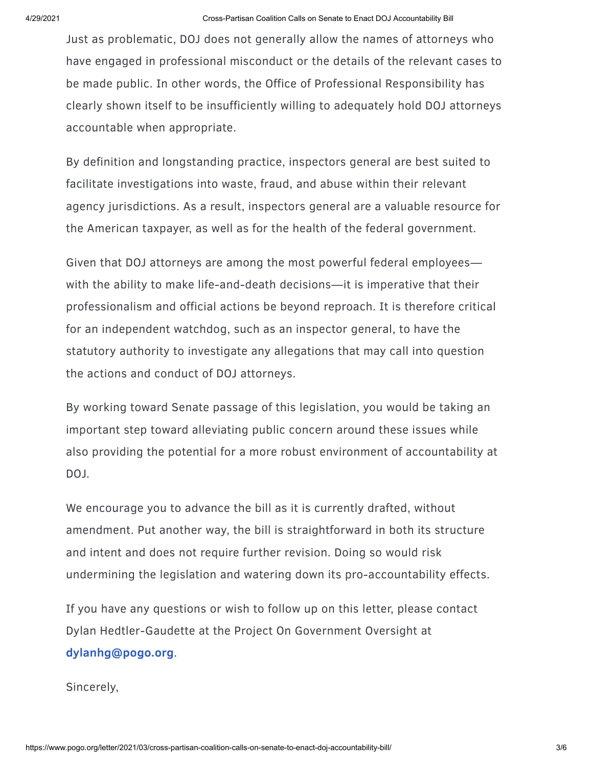Just as problematic, DOJ does not generally allow the names of attorneys who have engaged in professional misconduct or the details of the relevant cases to be made public. In other words, the Office of Professional Responsibility has clearly shown itself to be insufficiently willing to adequately hold DOJ attorneys accountable when appropriate.

By definition and longstanding practice, inspectors general are best suited to facilitate investigations into waste, fraud, and abuse within their relevant agency jurisdictions. As a result, inspectors general are a valuable resource for the American taxpayer, as well as for the health of the federal government.

Given that DOJ attorneys are among the most powerful federal employees with the ability to make life-and-death decisions—it is imperative that their professionalism and official actions be beyond reproach. It is therefore critical for an independent watchdog, such as an inspector general, to have the statutory authority to investigate any allegations that may call into question the actions and conduct of DOJ attorneys.

By working toward Senate passage of this legislation, you would be taking an important step toward alleviating public concern around these issues while also providing the potential for a more robust environment of accountability at DOJ.

We encourage you to advance the bill as it is currently drafted, without amendment. Put another way, the bill is straightforward in both its structure and intent and does not require further revision. Doing so would risk undermining the legislation and watering down its pro-accountability effects.

If you have any questions or wish to follow up on this letter, please contact Dylan Hedtler-Gaudette at the Project On Government Oversight at **[dylanhg@pogo.org](mailto:dylanhg@pogo.org)**.

Sincerely,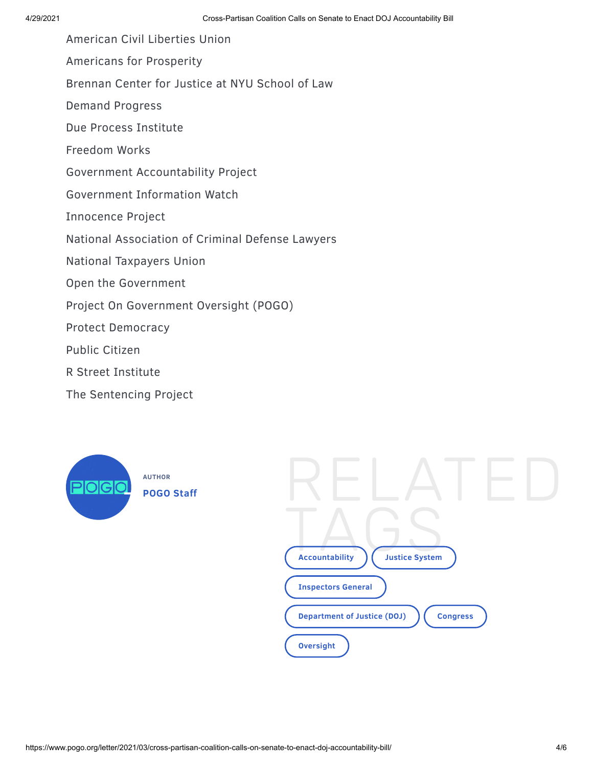American Civil Liberties Union

Americans for Prosperity

Brennan Center for Justice at NYU School of Law

Demand Progress

Due Process Institute

Freedom Works

Government Accountability Project

Government Information Watch

Innocence Project

National Association of Criminal Defense Lawyers

National Taxpayers Union

Open the Government

Project On Government Oversight (POGO)

Protect Democracy

Public Citizen

R Street Institute

The Sentencing Project



RELATED T **Accou**A**[ntability](https://www.pogo.org/topics/accountability/)**  $\overline{G}$ **Justice [S](https://www.pogo.org/topics/justice-system/)ystem [Inspectors](https://www.pogo.org/topics/inspectors-general/) General [Department](https://www.pogo.org/topics/department-of-justice/) of Justice (DOJ)** ( [Congress](https://www.pogo.org/topics/congress/) **[Oversight](https://www.pogo.org/topics/oversight/)**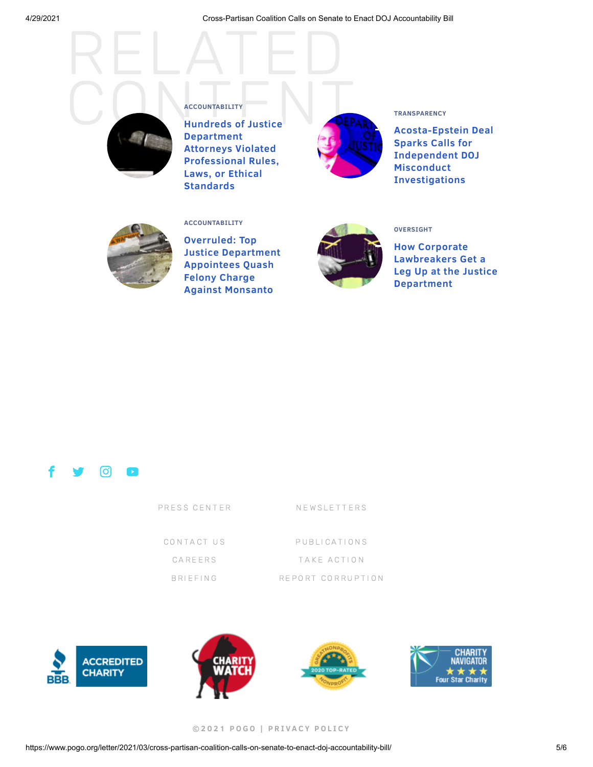

OUN[T](https://www.pogo.org/topics/accountability/)ABILITY E **Hundreds of Justice Department Attorneys Violated [Professional](https://www.pogo.org/report/2014/03/hundreds-of-justice-department-attorneys-violated-professional-rules-laws-or-ethical-standards/) Rules, Laws, or Ethical**

**UNTABILIT Y**



## **[TRANSPARENCY](https://www.pogo.org/topics/transparency/)**

**[Acosta-Epstein](https://www.pogo.org/analysis/2019/01/acosta-epstein-deal-sparks-calls-for-independent-doj-misconduct-investigations/) Deal Sparks Calls for Independent DOJ Misconduct Investigations**



## **[ACCOUNTABILITY](https://www.pogo.org/topics/accountability/)**

**Standards**

**ACCO**

**Overruled: Top Justice [Department](https://www.pogo.org/investigation/2019/08/overruled-top-justice-department-appointees-quash-felony-charge-against-monsanto/) Appointees Quash Felony Charge Against Monsanto**



## **[OVERSIGHT](https://www.pogo.org/topics/oversight/)**

**How Corporate [Lawbreakers](https://www.pogo.org/investigation/2019/10/how-corporate-lawbreakers-get-a-leg-up-at-the-justice-department/) Get a Leg Up at the Justice Department**



| PRESS CENTER | NEWSLETTERS       |
|--------------|-------------------|
| CONTACT US   | PUBLICATIONS      |
| CAREERS      | TAKE ACTION       |
| BRIFFING     | REPORT CORRUPTION |